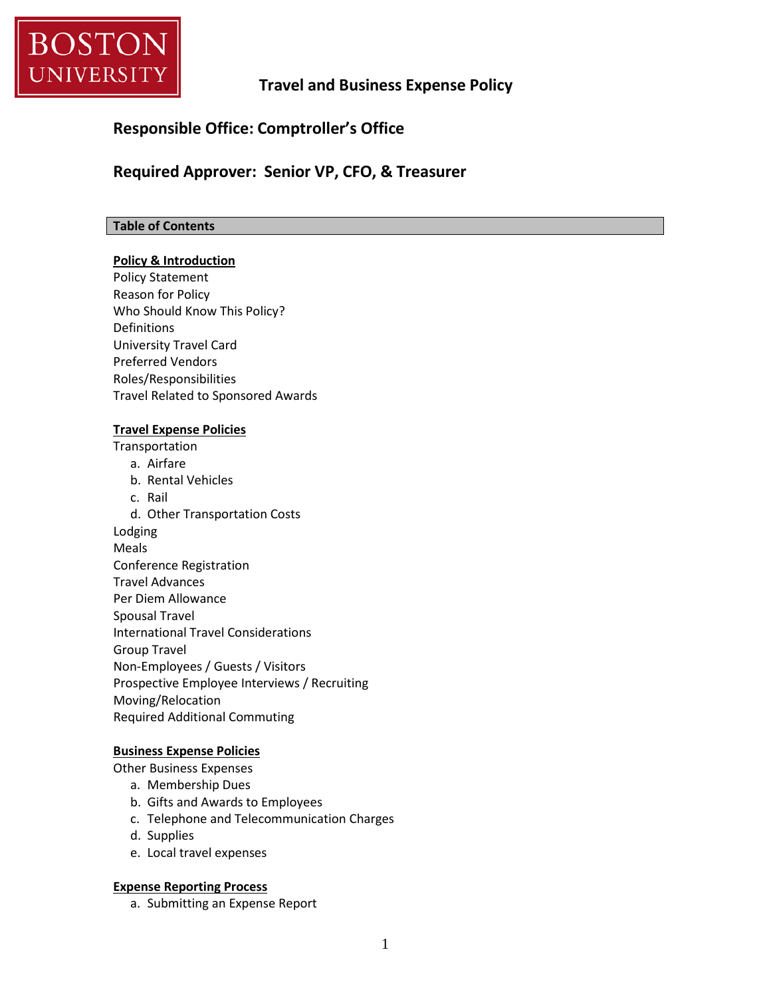

## **Travel and Business Expense Policy**

## **Responsible Office: Comptroller's Office**

## **Required Approver: Senior VP, CFO, & Treasurer**

#### **Table of Contents**

#### **Policy & Introduction**

Policy Statement Reason for Policy Who Should Know This Policy? Definitions University Travel Card Preferred Vendors Roles/Responsibilities Travel Related to Sponsored Awards

#### **Travel Expense Policies**

Transportation

- a. Airfare
- b. Rental Vehicles
- c. Rail
- d. Other Transportation Costs

Lodging

- Meals
- Conference Registration
- Travel Advances

Per Diem Allowance

- Spousal Travel
- International Travel Considerations
- Group Travel
- Non-Employees / Guests / Visitors
- Prospective Employee Interviews / Recruiting
- Moving/Relocation
- Required Additional Commuting

## **Business Expense Policies**

Other Business Expenses

- a. Membership Dues
- b. Gifts and Awards to Employees
- c. Telephone and Telecommunication Charges
- d. Supplies
- e. Local travel expenses

#### **Expense Reporting Process**

a. Submitting an Expense Report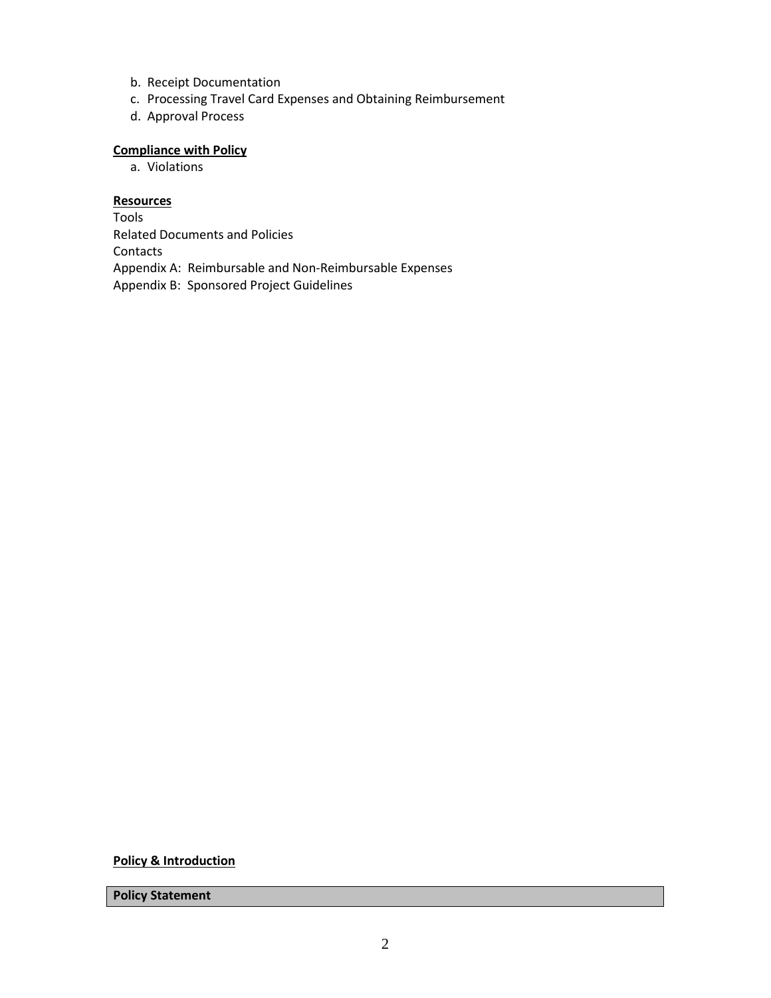- b. Receipt Documentation
- c. Processing Travel Card Expenses and Obtaining Reimbursement
- d. Approval Process

#### **Compliance with Policy**

a. Violations

#### **Resources**

Tools Related Documents and Policies Contacts Appendix A: Reimbursable and Non-Reimbursable Expenses Appendix B: Sponsored Project Guidelines

**Policy & Introduction**

**Policy Statement**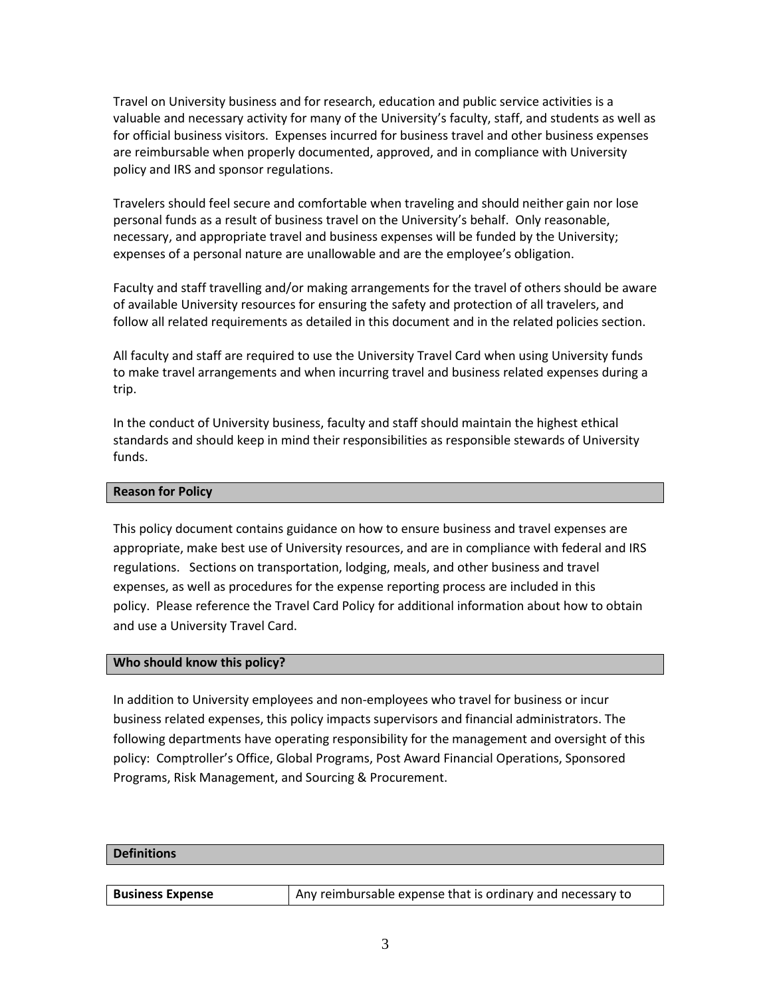Travel on University business and for research, education and public service activities is a valuable and necessary activity for many of the University's faculty, staff, and students as well as for official business visitors. Expenses incurred for business travel and other business expenses are reimbursable when properly documented, approved, and in compliance with University policy and IRS and sponsor regulations.

Travelers should feel secure and comfortable when traveling and should neither gain nor lose personal funds as a result of business travel on the University's behalf. Only reasonable, necessary, and appropriate travel and business expenses will be funded by the University; expenses of a personal nature are unallowable and are the employee's obligation.

Faculty and staff travelling and/or making arrangements for the travel of others should be aware of available University resources for ensuring the safety and protection of all travelers, and follow all related requirements as detailed in this document and in the related policies section.

All faculty and staff are required to use the University Travel Card when using University funds to make travel arrangements and when incurring travel and business related expenses during a trip.

In the conduct of University business, faculty and staff should maintain the highest ethical standards and should keep in mind their responsibilities as responsible stewards of University funds.

#### **Reason for Policy**

This policy document contains guidance on how to ensure business and travel expenses are appropriate, make best use of University resources, and are in compliance with federal and IRS regulations. Sections on transportation, lodging, meals, and other business and travel expenses, as well as procedures for the expense reporting process are included in this policy. Please reference the Travel Card Policy for additional information about how to obtain and use a University Travel Card.

#### **Who should know this policy?**

In addition to University employees and non-employees who travel for business or incur business related expenses, this policy impacts supervisors and financial administrators. The following departments have operating responsibility for the management and oversight of this policy: Comptroller's Office, Global Programs, Post Award Financial Operations, Sponsored Programs, Risk Management, and Sourcing & Procurement.

#### **Definitions**

| <b>Business Expense</b> | Any reimbursable expense that is ordinary and necessary to |
|-------------------------|------------------------------------------------------------|
|-------------------------|------------------------------------------------------------|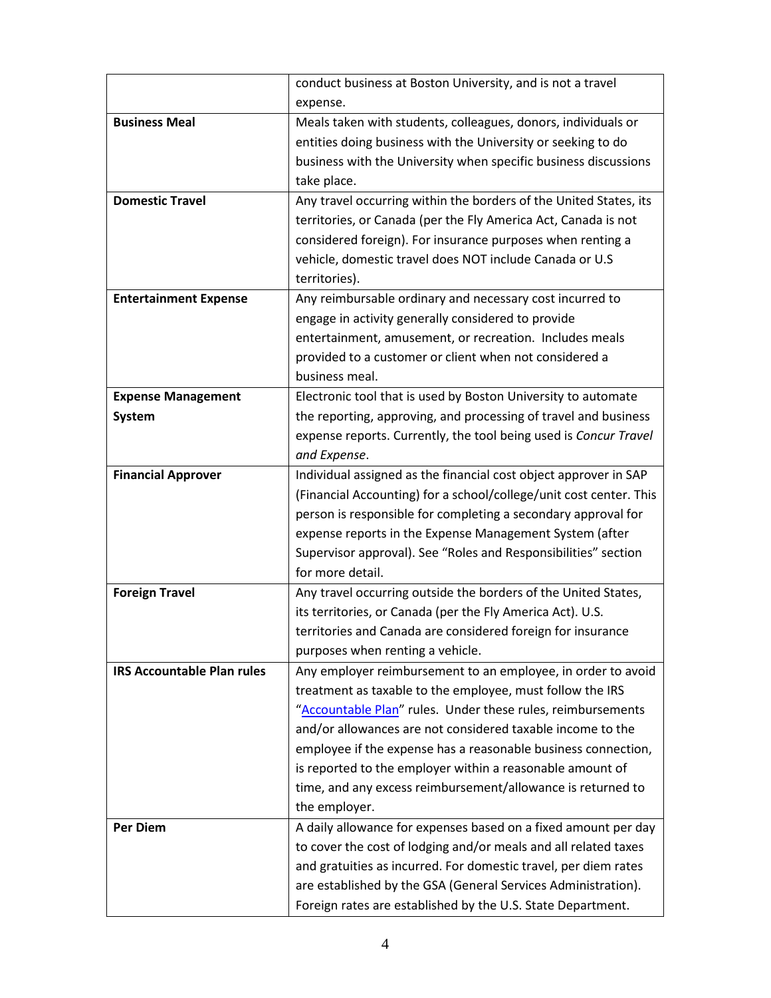|                                   | conduct business at Boston University, and is not a travel                         |  |
|-----------------------------------|------------------------------------------------------------------------------------|--|
|                                   | expense.                                                                           |  |
| <b>Business Meal</b>              | Meals taken with students, colleagues, donors, individuals or                      |  |
|                                   | entities doing business with the University or seeking to do                       |  |
|                                   | business with the University when specific business discussions                    |  |
|                                   | take place.                                                                        |  |
| <b>Domestic Travel</b>            | Any travel occurring within the borders of the United States, its                  |  |
|                                   | territories, or Canada (per the Fly America Act, Canada is not                     |  |
|                                   | considered foreign). For insurance purposes when renting a                         |  |
|                                   | vehicle, domestic travel does NOT include Canada or U.S                            |  |
|                                   | territories).                                                                      |  |
| <b>Entertainment Expense</b>      | Any reimbursable ordinary and necessary cost incurred to                           |  |
|                                   | engage in activity generally considered to provide                                 |  |
|                                   | entertainment, amusement, or recreation. Includes meals                            |  |
|                                   | provided to a customer or client when not considered a                             |  |
|                                   | business meal.                                                                     |  |
| <b>Expense Management</b>         | Electronic tool that is used by Boston University to automate                      |  |
| System                            | the reporting, approving, and processing of travel and business                    |  |
|                                   | expense reports. Currently, the tool being used is Concur Travel                   |  |
|                                   | and Expense.                                                                       |  |
| <b>Financial Approver</b>         | Individual assigned as the financial cost object approver in SAP                   |  |
|                                   | (Financial Accounting) for a school/college/unit cost center. This                 |  |
|                                   | person is responsible for completing a secondary approval for                      |  |
|                                   | expense reports in the Expense Management System (after                            |  |
|                                   | Supervisor approval). See "Roles and Responsibilities" section<br>for more detail. |  |
| <b>Foreign Travel</b>             | Any travel occurring outside the borders of the United States,                     |  |
|                                   | its territories, or Canada (per the Fly America Act). U.S.                         |  |
|                                   | territories and Canada are considered foreign for insurance                        |  |
|                                   | purposes when renting a vehicle.                                                   |  |
| <b>IRS Accountable Plan rules</b> | Any employer reimbursement to an employee, in order to avoid                       |  |
|                                   | treatment as taxable to the employee, must follow the IRS                          |  |
|                                   | "Accountable Plan" rules. Under these rules, reimbursements                        |  |
|                                   | and/or allowances are not considered taxable income to the                         |  |
|                                   | employee if the expense has a reasonable business connection,                      |  |
|                                   | is reported to the employer within a reasonable amount of                          |  |
|                                   | time, and any excess reimbursement/allowance is returned to                        |  |
|                                   | the employer.                                                                      |  |
| <b>Per Diem</b>                   | A daily allowance for expenses based on a fixed amount per day                     |  |
|                                   | to cover the cost of lodging and/or meals and all related taxes                    |  |
|                                   | and gratuities as incurred. For domestic travel, per diem rates                    |  |
|                                   | are established by the GSA (General Services Administration).                      |  |
|                                   | Foreign rates are established by the U.S. State Department.                        |  |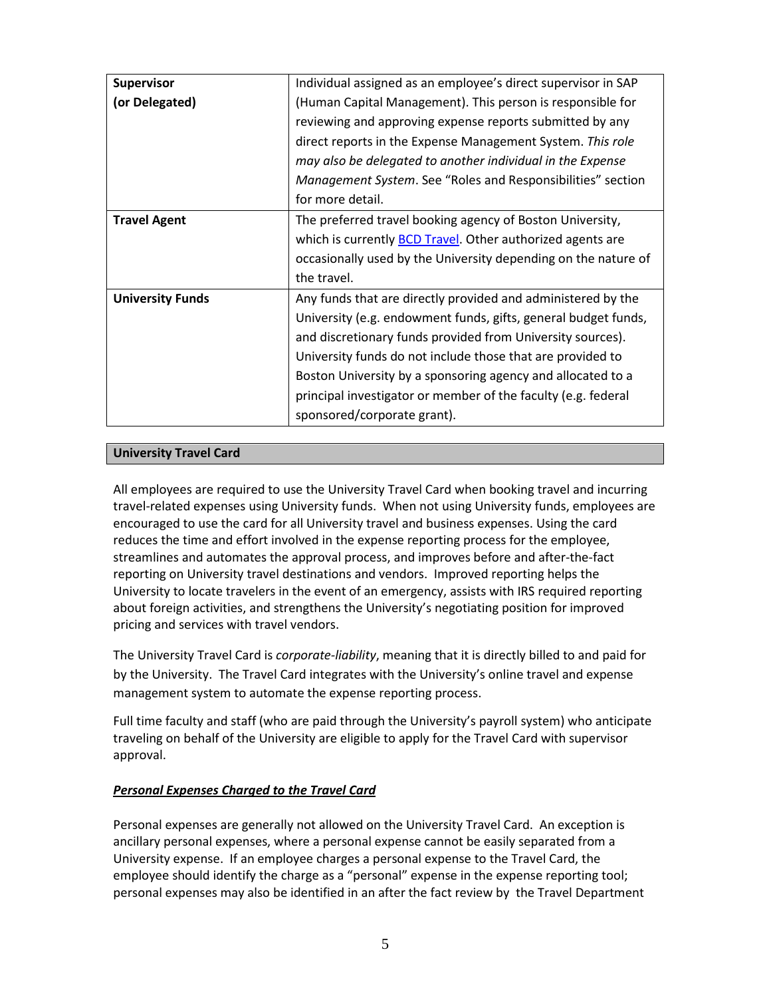| <b>Supervisor</b>       | Individual assigned as an employee's direct supervisor in SAP      |  |
|-------------------------|--------------------------------------------------------------------|--|
| (or Delegated)          | (Human Capital Management). This person is responsible for         |  |
|                         | reviewing and approving expense reports submitted by any           |  |
|                         | direct reports in the Expense Management System. This role         |  |
|                         | may also be delegated to another individual in the Expense         |  |
|                         | Management System. See "Roles and Responsibilities" section        |  |
|                         | for more detail.                                                   |  |
| <b>Travel Agent</b>     | The preferred travel booking agency of Boston University,          |  |
|                         | which is currently <b>BCD Travel</b> . Other authorized agents are |  |
|                         | occasionally used by the University depending on the nature of     |  |
|                         | the travel.                                                        |  |
| <b>University Funds</b> | Any funds that are directly provided and administered by the       |  |
|                         | University (e.g. endowment funds, gifts, general budget funds,     |  |
|                         | and discretionary funds provided from University sources).         |  |
|                         | University funds do not include those that are provided to         |  |
|                         | Boston University by a sponsoring agency and allocated to a        |  |
|                         | principal investigator or member of the faculty (e.g. federal      |  |
|                         | sponsored/corporate grant).                                        |  |

#### **University Travel Card**

All employees are required to use the University Travel Card when booking travel and incurring travel-related expenses using University funds. When not using University funds, employees are encouraged to use the card for all University travel and business expenses. Using the card reduces the time and effort involved in the expense reporting process for the employee, streamlines and automates the approval process, and improves before and after-the-fact reporting on University travel destinations and vendors. Improved reporting helps the University to locate travelers in the event of an emergency, assists with IRS required reporting about foreign activities, and strengthens the University's negotiating position for improved pricing and services with travel vendors.

The University Travel Card is *corporate-liability*, meaning that it is directly billed to and paid for by the University. The Travel Card integrates with the University's online travel and expense management system to automate the expense reporting process.

Full time faculty and staff (who are paid through the University's payroll system) who anticipate traveling on behalf of the University are eligible to apply for the Travel Card with supervisor approval.

#### *Personal Expenses Charged to the Travel Card*

Personal expenses are generally not allowed on the University Travel Card. An exception is ancillary personal expenses, where a personal expense cannot be easily separated from a University expense. If an employee charges a personal expense to the Travel Card, the employee should identify the charge as a "personal" expense in the expense reporting tool; personal expenses may also be identified in an after the fact review by the Travel Department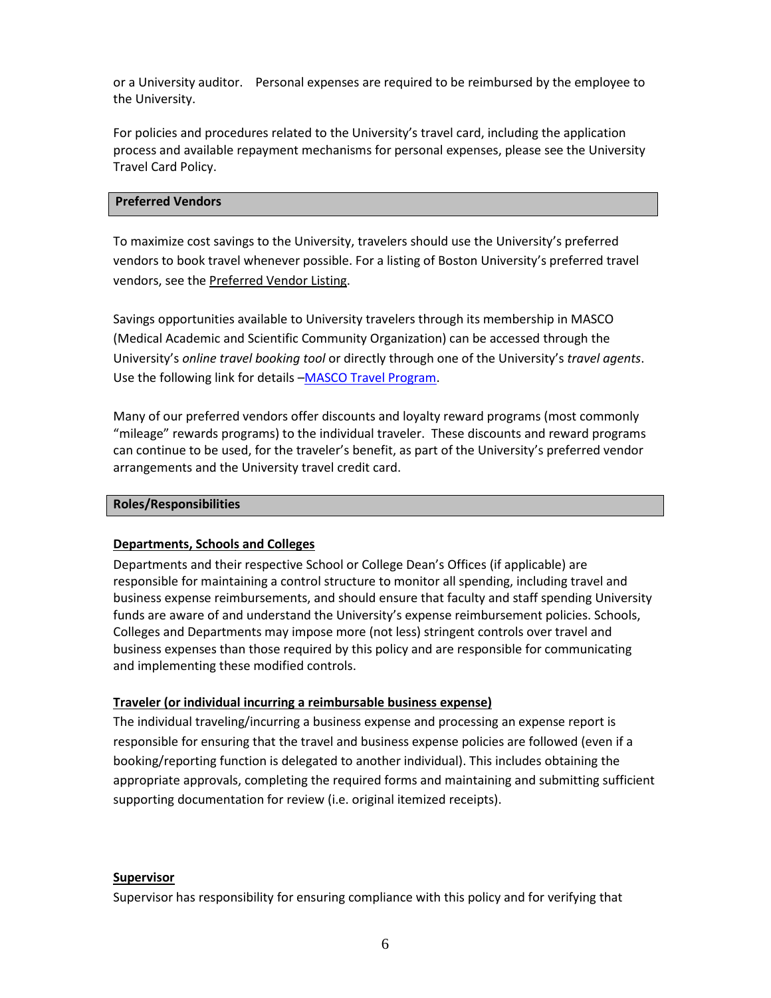or a University auditor. Personal expenses are required to be reimbursed by the employee to the University.

For policies and procedures related to the University's travel card, including the application process and available repayment mechanisms for personal expenses, please see the University Travel Card Policy.

#### **Preferred Vendors**

To maximize cost savings to the University, travelers should use the University's preferred vendors to book travel whenever possible. For a listing of Boston University's preferred travel vendors, see the Preferred Vendor Listing.

Savings opportunities available to University travelers through its membership in MASCO (Medical Academic and Scientific Community Organization) can be accessed through the University's *online travel booking tool* or directly through one of the University's *travel agents*. Use the following link for details [–MASCO Travel Program.](http://www.masco.org/programs/airlines)

Many of our preferred vendors offer discounts and loyalty reward programs (most commonly "mileage" rewards programs) to the individual traveler. These discounts and reward programs can continue to be used, for the traveler's benefit, as part of the University's preferred vendor arrangements and the University travel credit card.

#### **Roles/Responsibilities**

#### **Departments, Schools and Colleges**

Departments and their respective School or College Dean's Offices (if applicable) are responsible for maintaining a control structure to monitor all spending, including travel and business expense reimbursements, and should ensure that faculty and staff spending University funds are aware of and understand the University's expense reimbursement policies. Schools, Colleges and Departments may impose more (not less) stringent controls over travel and business expenses than those required by this policy and are responsible for communicating and implementing these modified controls.

#### **Traveler (or individual incurring a reimbursable business expense)**

The individual traveling/incurring a business expense and processing an expense report is responsible for ensuring that the travel and business expense policies are followed (even if a booking/reporting function is delegated to another individual). This includes obtaining the appropriate approvals, completing the required forms and maintaining and submitting sufficient supporting documentation for review (i.e. original itemized receipts).

#### **Supervisor**

Supervisor has responsibility for ensuring compliance with this policy and for verifying that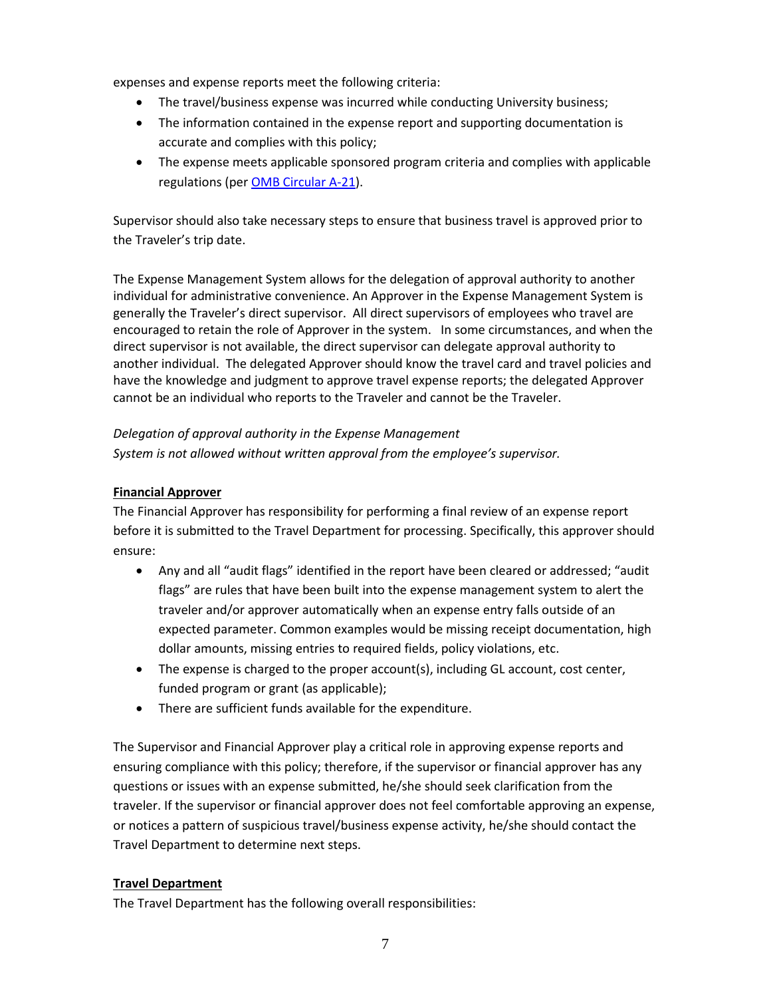expenses and expense reports meet the following criteria:

- The travel/business expense was incurred while conducting University business;
- The information contained in the expense report and supporting documentation is accurate and complies with this policy;
- The expense meets applicable sponsored program criteria and complies with applicable regulations (per **OMB Circular A-21**).

Supervisor should also take necessary steps to ensure that business travel is approved prior to the Traveler's trip date.

The Expense Management System allows for the delegation of approval authority to another individual for administrative convenience. An Approver in the Expense Management System is generally the Traveler's direct supervisor. All direct supervisors of employees who travel are encouraged to retain the role of Approver in the system. In some circumstances, and when the direct supervisor is not available, the direct supervisor can delegate approval authority to another individual. The delegated Approver should know the travel card and travel policies and have the knowledge and judgment to approve travel expense reports; the delegated Approver cannot be an individual who reports to the Traveler and cannot be the Traveler.

*Delegation of approval authority in the Expense Management System is not allowed without written approval from the employee's supervisor.*

#### **Financial Approver**

The Financial Approver has responsibility for performing a final review of an expense report before it is submitted to the Travel Department for processing. Specifically, this approver should ensure:

- Any and all "audit flags" identified in the report have been cleared or addressed; "audit flags" are rules that have been built into the expense management system to alert the traveler and/or approver automatically when an expense entry falls outside of an expected parameter. Common examples would be missing receipt documentation, high dollar amounts, missing entries to required fields, policy violations, etc.
- The expense is charged to the proper account(s), including GL account, cost center, funded program or grant (as applicable);
- There are sufficient funds available for the expenditure.

The Supervisor and Financial Approver play a critical role in approving expense reports and ensuring compliance with this policy; therefore, if the supervisor or financial approver has any questions or issues with an expense submitted, he/she should seek clarification from the traveler. If the supervisor or financial approver does not feel comfortable approving an expense, or notices a pattern of suspicious travel/business expense activity, he/she should contact the Travel Department to determine next steps.

#### **Travel Department**

The Travel Department has the following overall responsibilities: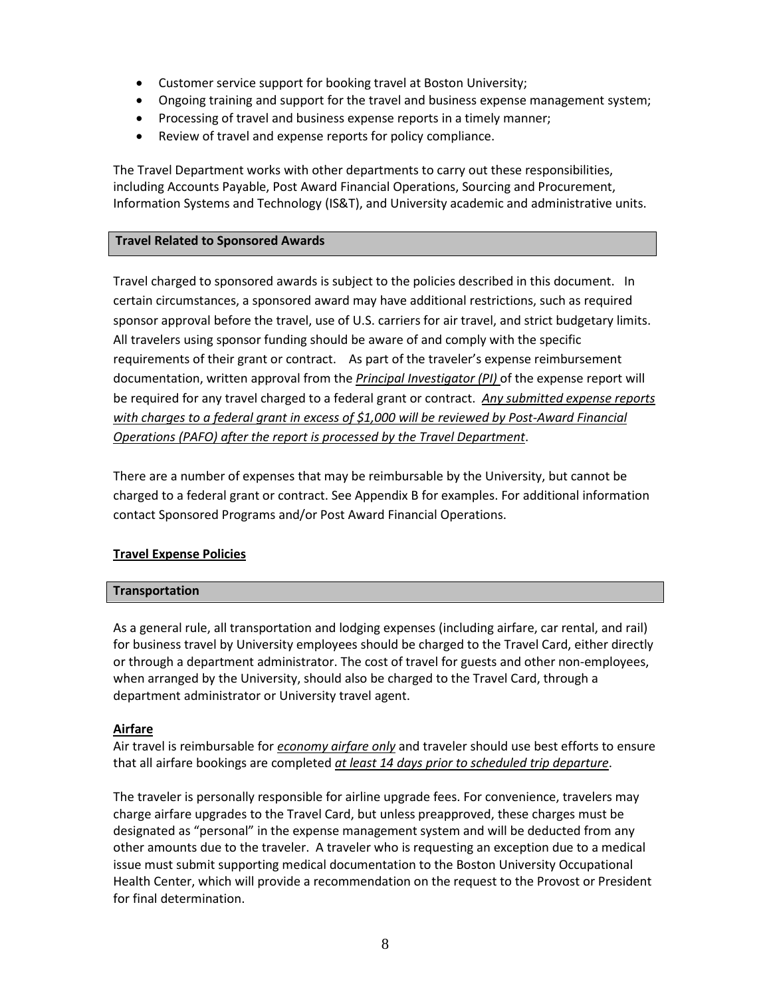- Customer service support for booking travel at Boston University;
- Ongoing training and support for the travel and business expense management system;
- Processing of travel and business expense reports in a timely manner;
- Review of travel and expense reports for policy compliance.

The Travel Department works with other departments to carry out these responsibilities, including Accounts Payable, Post Award Financial Operations, Sourcing and Procurement, Information Systems and Technology (IS&T), and University academic and administrative units.

#### **Travel Related to Sponsored Awards**

Travel charged to sponsored awards is subject to the policies described in this document. In certain circumstances, a sponsored award may have additional restrictions, such as required sponsor approval before the travel, use of U.S. carriers for air travel, and strict budgetary limits. All travelers using sponsor funding should be aware of and comply with the specific requirements of their grant or contract. As part of the traveler's expense reimbursement documentation, written approval from the *Principal Investigator (PI)* of the expense report will be required for any travel charged to a federal grant or contract. *Any submitted expense reports with charges to a federal grant in excess of \$1,000 will be reviewed by Post-Award Financial Operations (PAFO) after the report is processed by the Travel Department*.

There are a number of expenses that may be reimbursable by the University, but cannot be charged to a federal grant or contract. See Appendix B for examples. For additional information contact Sponsored Programs and/or Post Award Financial Operations.

#### **Travel Expense Policies**

#### **Transportation**

As a general rule, all transportation and lodging expenses (including airfare, car rental, and rail) for business travel by University employees should be charged to the Travel Card, either directly or through a department administrator. The cost of travel for guests and other non-employees, when arranged by the University, should also be charged to the Travel Card, through a department administrator or University travel agent.

#### **Airfare**

Air travel is reimbursable for *economy airfare only* and traveler should use best efforts to ensure that all airfare bookings are completed *at least 14 days prior to scheduled trip departure*.

The traveler is personally responsible for airline upgrade fees. For convenience, travelers may charge airfare upgrades to the Travel Card, but unless preapproved, these charges must be designated as "personal" in the expense management system and will be deducted from any other amounts due to the traveler. A traveler who is requesting an exception due to a medical issue must submit supporting medical documentation to the Boston University Occupational Health Center, which will provide a recommendation on the request to the Provost or President for final determination.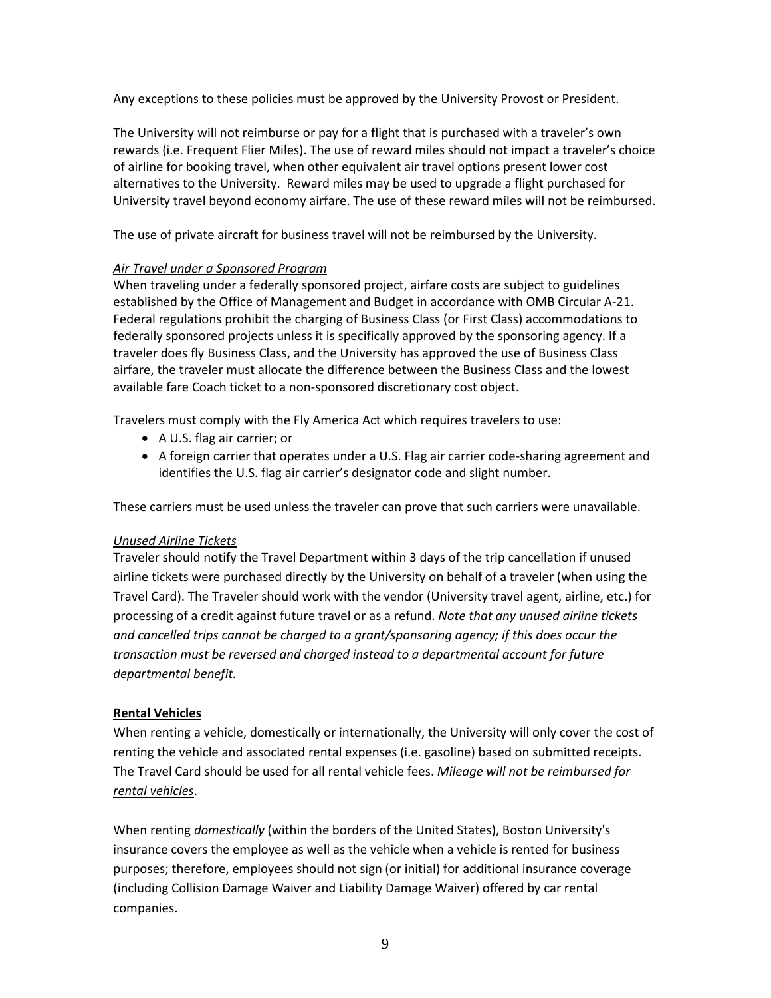Any exceptions to these policies must be approved by the University Provost or President.

The University will not reimburse or pay for a flight that is purchased with a traveler's own rewards (i.e. Frequent Flier Miles). The use of reward miles should not impact a traveler's choice of airline for booking travel, when other equivalent air travel options present lower cost alternatives to the University. Reward miles may be used to upgrade a flight purchased for University travel beyond economy airfare. The use of these reward miles will not be reimbursed.

The use of private aircraft for business travel will not be reimbursed by the University.

#### *Air Travel under a Sponsored Program*

When traveling under a federally sponsored project, airfare costs are subject to guidelines established by the Office of Management and Budget in accordance with OMB Circular A-21. Federal regulations prohibit the charging of Business Class (or First Class) accommodations to federally sponsored projects unless it is specifically approved by the sponsoring agency. If a traveler does fly Business Class, and the University has approved the use of Business Class airfare, the traveler must allocate the difference between the Business Class and the lowest available fare Coach ticket to a non-sponsored discretionary cost object.

Travelers must comply with the Fly America Act which requires travelers to use:

- A U.S. flag air carrier; or
- A foreign carrier that operates under a U.S. Flag air carrier code-sharing agreement and identifies the U.S. flag air carrier's designator code and slight number.

These carriers must be used unless the traveler can prove that such carriers were unavailable.

#### *Unused Airline Tickets*

Traveler should notify the Travel Department within 3 days of the trip cancellation if unused airline tickets were purchased directly by the University on behalf of a traveler (when using the Travel Card). The Traveler should work with the vendor (University travel agent, airline, etc.) for processing of a credit against future travel or as a refund. *Note that any unused airline tickets and cancelled trips cannot be charged to a grant/sponsoring agency; if this does occur the transaction must be reversed and charged instead to a departmental account for future departmental benefit.*

#### **Rental Vehicles**

When renting a vehicle, domestically or internationally, the University will only cover the cost of renting the vehicle and associated rental expenses (i.e. gasoline) based on submitted receipts. The Travel Card should be used for all rental vehicle fees. *Mileage will not be reimbursed for rental vehicles*.

When renting *domestically* (within the borders of the United States), Boston University's insurance covers the employee as well as the vehicle when a vehicle is rented for business purposes; therefore, employees should not sign (or initial) for additional insurance coverage (including Collision Damage Waiver and Liability Damage Waiver) offered by car rental companies.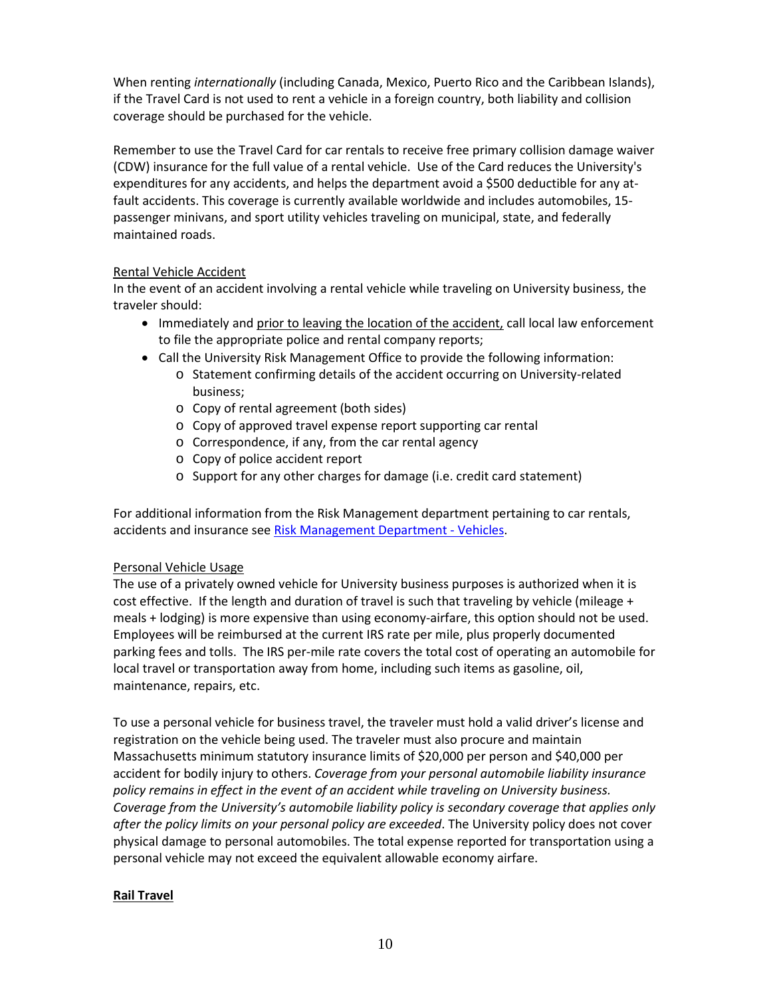When renting *internationally* (including Canada, Mexico, Puerto Rico and the Caribbean Islands), if the Travel Card is not used to rent a vehicle in a foreign country, both liability and collision coverage should be purchased for the vehicle.

Remember to use th[e Travel Card](http://www.bu.edu/comp/travel/travel2/corpcard.html) for car rentals to receive free primary collision damage waiver (CDW) insurance for the full value of a rental vehicle. Use of the Card reduces the University's expenditures for any accidents, and helps the department avoid a \$500 deductible for any atfault accidents. This coverage is currently available worldwide and includes automobiles, 15 passenger minivans, and sport utility vehicles traveling on municipal, state, and federally maintained roads.

#### Rental Vehicle Accident

In the event of an accident involving a rental vehicle while traveling on University business, the traveler should:

- Immediately and prior to leaving the location of the accident, call local law enforcement to file the appropriate police and rental company reports;
- Call the University Risk Management Office to provide the following information:
	- o Statement confirming details of the accident occurring on University-related business;
	- o Copy of rental agreement (both sides)
	- o Copy of approved travel expense report supporting car rental
	- o Correspondence, if any, from the car rental agency
	- o Copy of police accident report
	- o Support for any other charges for damage (i.e. credit card statement)

For additional information from the Risk Management department pertaining to car rentals, accidents and insurance se[e Risk Management Department -](http://www.bu.edu/cfo/risk-management/risk-management-resources/automobiles/) Vehicles.

#### Personal Vehicle Usage

The use of a privately owned vehicle for University business purposes is authorized when it is cost effective. If the length and duration of travel is such that traveling by vehicle (mileage + meals + lodging) is more expensive than using economy-airfare, this option should not be used. Employees will be reimbursed at the current IRS [rate per mile,](http://www.bu.edu/comp/travel/travel2/mileage.html) plus properly documented parking fees and tolls. The IRS per-mile rate covers the total cost of operating an automobile for local travel or transportation away from home, including such items as gasoline, oil, maintenance, repairs, etc.

To use a personal vehicle for business travel, the traveler must hold a valid driver's license and registration on the vehicle being used. The traveler must also procure and maintain Massachusetts minimum statutory insurance limits of \$20,000 per person and \$40,000 per accident for bodily injury to others. *Coverage from your personal automobile liability insurance policy remains in effect in the event of an accident while traveling on University business. Coverage from the University's automobile liability policy is secondary coverage that applies only after the policy limits on your personal policy are exceeded*. The University policy does not cover physical damage to personal automobiles. The total expense reported for transportation using a personal vehicle may not exceed the equivalent allowable economy airfare.

#### **Rail Travel**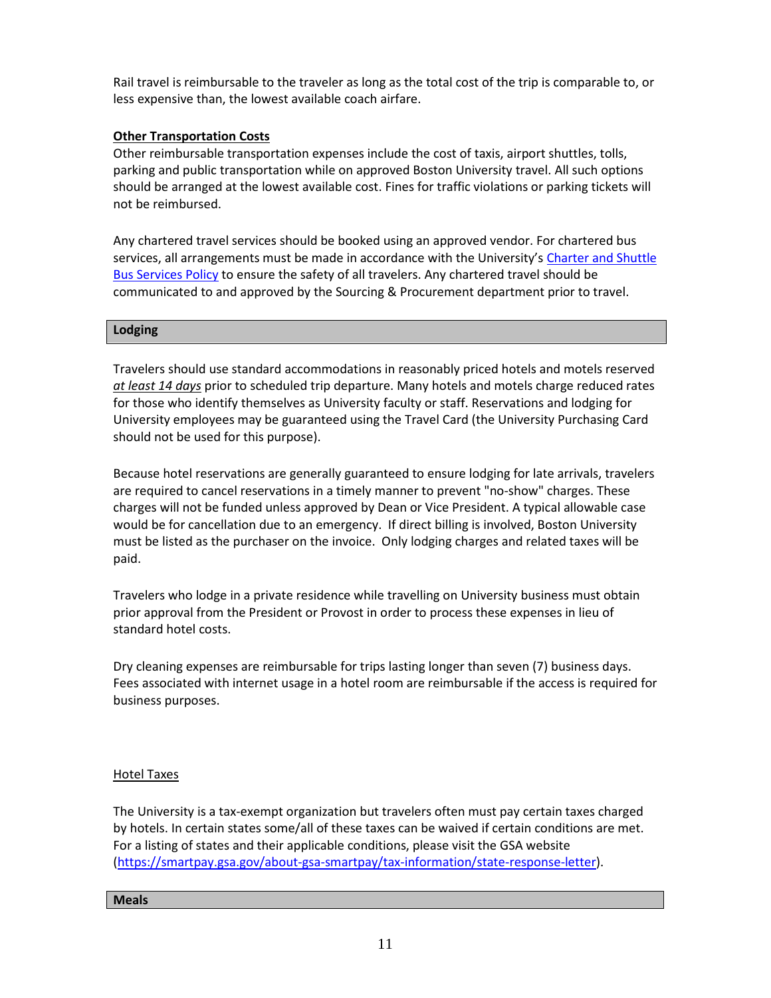Rail travel is reimbursable to the traveler as long as the total cost of the trip is comparable to, or less expensive than, the lowest available coach airfare.

#### **Other Transportation Costs**

Other reimbursable transportation expenses include the cost of taxis, airport shuttles, tolls, parking and public transportation while on approved Boston University travel. All such options should be arranged at the lowest available cost. Fines for traffic violations or parking tickets will not be reimbursed.

Any chartered travel services should be booked using an approved vendor. For chartered bus services, all arrangements must be made in accordance with the University's [Charter and Shuttle](http://www.bu.edu/sourcing/files/__restricted/entire-bu-community/Bus-Policy.pdf)  [Bus Services Policy](http://www.bu.edu/sourcing/files/__restricted/entire-bu-community/Bus-Policy.pdf) to ensure the safety of all travelers. Any chartered travel should be communicated to and approved by the Sourcing & Procurement department prior to travel.

#### **Lodging**

Travelers should use standard accommodations in reasonably priced hotels and motels reserved *at least 14 days* prior to scheduled trip departure. Many hotels and motels charge reduced rates for those who identify themselves as University faculty or staff. Reservations and lodging for University employees may be guaranteed using the Travel Card (the University Purchasing Card should not be used for this purpose).

Because hotel reservations are generally guaranteed to ensure lodging for late arrivals, travelers are required to cancel reservations in a timely manner to prevent "no-show" charges. These charges will not be funded unless approved by Dean or Vice President. A typical allowable case would be for cancellation due to an emergency. If direct billing is involved, Boston University must be listed as the purchaser on the invoice. Only lodging charges and related taxes will be paid.

Travelers who lodge in a private residence while travelling on University business must obtain prior approval from the President or Provost in order to process these expenses in lieu of standard hotel costs.

Dry cleaning expenses are reimbursable for trips lasting longer than seven (7) business days. Fees associated with internet usage in a hotel room are reimbursable if the access is required for business purposes.

#### Hotel Taxes

The University is a tax-exempt organization but travelers often must pay certain taxes charged by hotels. In certain states some/all of these taxes can be waived if certain conditions are met. For a listing of states and their applicable conditions, please visit the GSA website [\(https://smartpay.gsa.gov/about-gsa-smartpay/tax-information/state-response-letter\)](https://smartpay.gsa.gov/about-gsa-smartpay/tax-information/state-response-letter).

#### **Meals**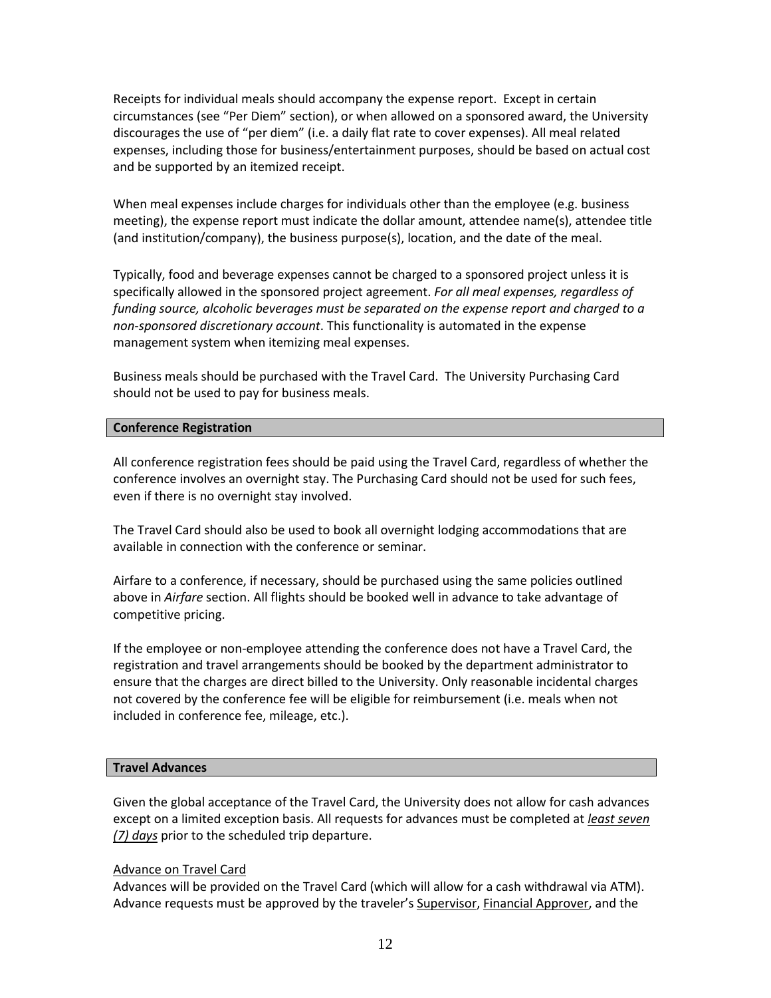Receipts for individual meals should accompany the [expense report.](http://www.bu.edu/comp/travel/travel2/travelreim.html) Except in certain circumstances (see "Per Diem" section), or when allowed on a sponsored award, the University discourages the use of "per diem" (i.e. a daily flat rate to cover expenses). All meal related expenses, including those for business/entertainment purposes, should be based on actual cost and be supported by an itemized receipt.

When meal expenses include charges for individuals other than the employee (e.g. business meeting), the expense report must indicate the dollar amount, attendee name(s), attendee title (and institution/company), the business purpose(s), location, and the date of the meal.

Typically, food and beverage expenses cannot be charged to a sponsored project unless it is specifically allowed in the sponsored project agreement. *For all meal expenses, regardless of funding source, alcoholic beverages must be separated on the expense report and charged to a non-sponsored discretionary account*. This functionality is automated in the expense management system when itemizing meal expenses.

Business meals should be purchased with the Travel Card. The University Purchasing Card should not be used to pay for business meals.

#### **Conference Registration**

All conference registration fees should be paid using the Travel Card, regardless of whether the conference involves an overnight stay. The Purchasing Card should not be used for such fees, even if there is no overnight stay involved.

The Travel Card should also be used to book all overnight lodging accommodations that are available in connection with the conference or seminar.

Airfare to a conference, if necessary, should be purchased using the same policies outlined above in *Airfare* section. All flights should be booked well in advance to take advantage of competitive pricing.

If the employee or non-employee attending the conference does not have a Travel Card, the registration and travel arrangements should be booked by the department administrator to ensure that the charges are direct billed to the University. Only reasonable incidental charges not covered by the conference fee will be eligible for reimbursement (i.e. meals when not included in conference fee, mileage, etc.).

#### **Travel Advances**

Given the global acceptance of the Travel Card, the University does not allow for cash advances except on a limited exception basis. All requests for advances must be completed at *least seven (7) days* prior to the scheduled trip departure.

#### Advance on Travel Card

Advances will be provided on the Travel Card (which will allow for a cash withdrawal via ATM). Advance requests must be approved by the traveler's Supervisor, Financial Approver, and the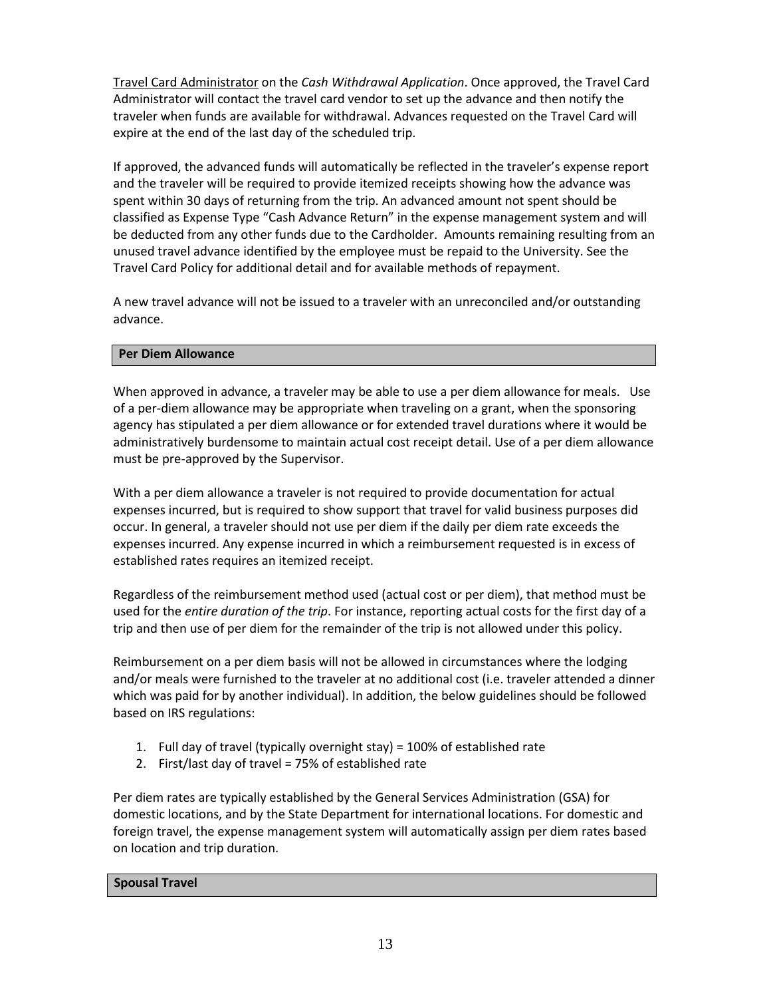Travel Card Administrator on the *Cash Withdrawal Application*. Once approved, the Travel Card Administrator will contact the travel card vendor to set up the advance and then notify the traveler when funds are available for withdrawal. Advances requested on the Travel Card will expire at the end of the last day of the scheduled trip.

If approved, the advanced funds will automatically be reflected in the traveler's expense report and the traveler will be required to provide itemized receipts showing how the advance was spent within 30 days of returning from the trip. An advanced amount not spent should be classified as Expense Type "Cash Advance Return" in the expense management system and will be deducted from any other funds due to the Cardholder. Amounts remaining resulting from an unused travel advance identified by the employee must be repaid to the University. See the Travel Card Policy for additional detail and for available methods of repayment.

A new travel advance will not be issued to a traveler with an unreconciled and/or outstanding advance.

#### **Per Diem Allowance**

When approved in advance, a traveler may be able to use a per diem allowance for meals. Use of a per-diem allowance may be appropriate when traveling on a grant, when the sponsoring agency has stipulated a per diem allowance or for extended travel durations where it would be administratively burdensome to maintain actual cost receipt detail. Use of a per diem allowance must be pre-approved by the Supervisor.

With a per diem allowance a traveler is not required to provide documentation for actual expenses incurred, but is required to show support that travel for valid business purposes did occur. In general, a traveler should not use per diem if the daily per diem rate exceeds the expenses incurred. Any expense incurred in which a reimbursement requested is in excess of established rates requires an itemized receipt.

Regardless of the reimbursement method used (actual cost or per diem), that method must be used for the *entire duration of the trip*. For instance, reporting actual costs for the first day of a trip and then use of per diem for the remainder of the trip is not allowed under this policy.

Reimbursement on a per diem basis will not be allowed in circumstances where the lodging and/or meals were furnished to the traveler at no additional cost (i.e. traveler attended a dinner which was paid for by another individual). In addition, the below guidelines should be followed based on IRS regulations:

- 1. Full day of travel (typically overnight stay) = 100% of established rate
- 2. First/last day of travel = 75% of established rate

Per diem rates are typically established by the General Services Administration (GSA) for domestic locations, and by the State Department for international locations. For domestic and foreign travel, the expense management system will automatically assign per diem rates based on location and trip duration.

#### **Spousal Travel**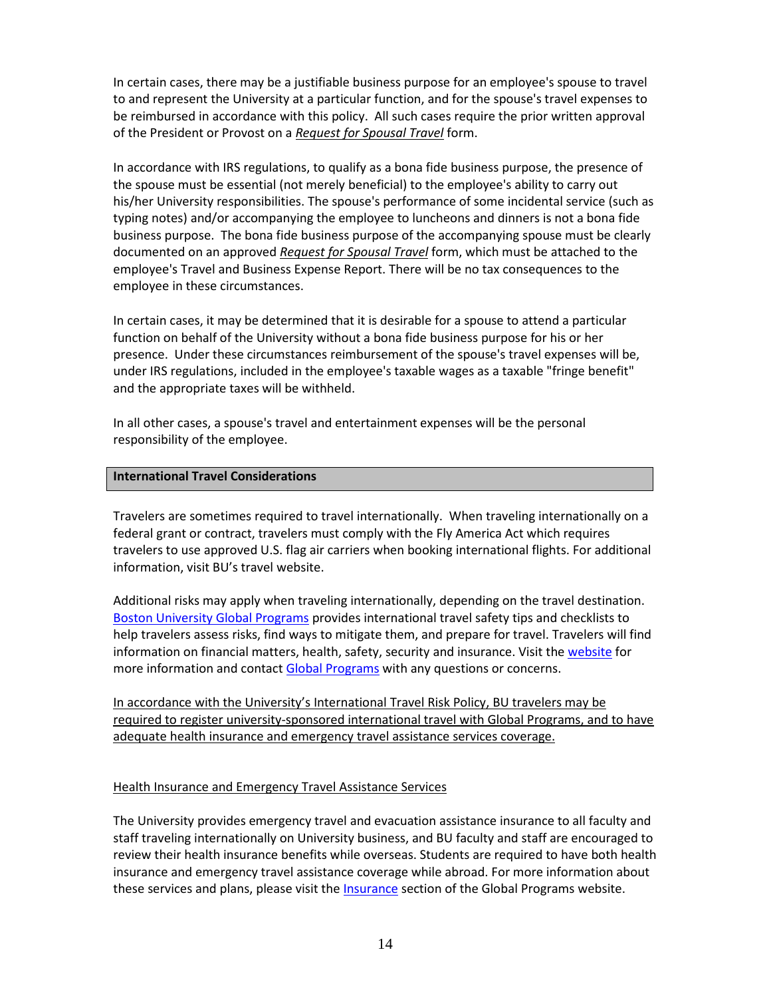In certain cases, there may be a justifiable business purpose for an employee's spouse to travel to and represent the University at a particular function, and for the spouse's travel expenses to be reimbursed in accordance with this policy. All such cases require the prior written approval of the President or Provost on a *Request for Spousal Travel* form.

In accordance with IRS regulations, to qualify as a bona fide business purpose, the presence of the spouse must be essential (not merely beneficial) to the employee's ability to carry out his/her University responsibilities. The spouse's performance of some incidental service (such as typing notes) and/or accompanying the employee to luncheons and dinners is not a bona fide business purpose. The bona fide business purpose of the accompanying spouse must be clearly documented on an approved *Request for Spousal Travel* form, which must be attached to the employee's Travel and Business Expense Report. There will be no tax consequences to the employee in these circumstances.

In certain cases, it may be determined that it is desirable for a spouse to attend a particular function on behalf of the University without a bona fide business purpose for his or her presence. Under these circumstances reimbursement of the spouse's travel expenses will be, under IRS regulations, included in the employee's taxable wages as a taxable "fringe benefit" and the appropriate taxes will be withheld.

In all other cases, a spouse's travel and entertainment expenses will be the personal responsibility of the employee.

#### **International Travel Considerations**

Travelers are sometimes required to travel internationally. When traveling internationally on a federal grant or contract, travelers must comply with the Fly America Act which requires travelers to use approved U.S. flag air carriers when booking international flights. For additional information, visit BU's travel website.

Additional risks may apply when traveling internationally, depending on the travel destination. [Boston University Global Programs](http://www.bu.edu/globalprograms) provides international travel safety tips and checklists to help travelers assess risks, find ways to mitigate them, and prepare for travel. Travelers will find information on financial matters, health, safety, security and insurance. Visit the [website](http://www.bu.edu/globalprograms/manage/international-travel/) for more information and contact [Global Programs](mailto:global@bu.edu) with any questions or concerns.

In accordance with the University's International Travel Risk Policy, BU travelers may be required to register university-sponsored international travel with Global Programs, and to have adequate health insurance and emergency travel assistance services coverage.

#### Health Insurance and Emergency Travel Assistance Services

The University provides emergency travel and evacuation assistance insurance to all faculty and staff traveling internationally on University business, and BU faculty and staff are encouraged to review their health insurance benefits while overseas. Students are required to have both health insurance and emergency travel assistance coverage while abroad. For more information about these services and plans, please visit th[e Insurance](http://www.bu.edu/globalprograms/manage/international-travel/insurance/) section of the Global Programs website.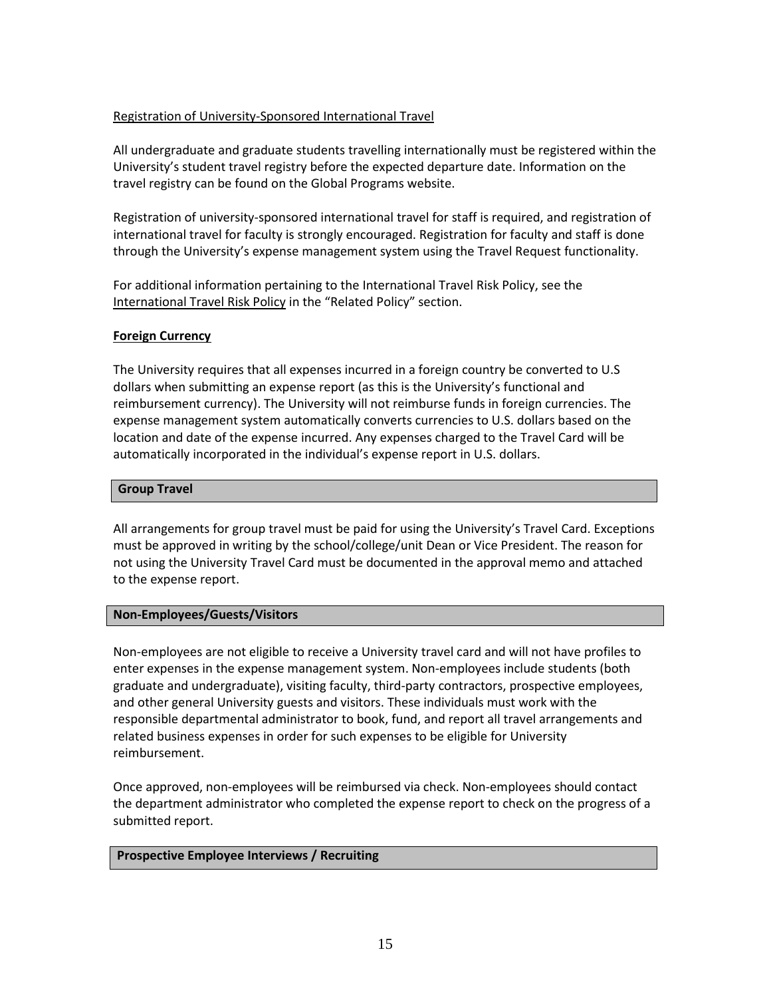#### Registration of University-Sponsored International Travel

All undergraduate and graduate students travelling internationally must be registered within the University's student travel registry before the expected departure date. Information on the travel registry can be found on the Global Programs website.

Registration of university-sponsored international travel for staff is required, and registration of international travel for faculty is strongly encouraged. Registration for faculty and staff is done through the University's expense management system using the Travel Request functionality.

For additional information pertaining to the International Travel Risk Policy, see the International Travel Risk Policy in the "Related Policy" section.

#### **Foreign Currency**

The University requires that all expenses incurred in a foreign country be converted to U.S dollars when submitting an expense report (as this is the University's functional and reimbursement currency). The University will not reimburse funds in foreign currencies. The expense management system automatically converts currencies to U.S. dollars based on the location and date of the expense incurred. Any expenses charged to the Travel Card will be automatically incorporated in the individual's expense report in U.S. dollars.

#### **Group Travel**

All arrangements for group travel must be paid for using the University's Travel Card. Exceptions must be approved in writing by the school/college/unit Dean or Vice President. The reason for not using the University Travel Card must be documented in the approval memo and attached to the expense report.

#### **Non-Employees/Guests/Visitors**

Non-employees are not eligible to receive a University travel card and will not have profiles to enter expenses in the expense management system. Non-employees include students (both graduate and undergraduate), visiting faculty, third-party contractors, prospective employees, and other general University guests and visitors. These individuals must work with the responsible departmental administrator to book, fund, and report all travel arrangements and related business expenses in order for such expenses to be eligible for University reimbursement.

Once approved, non-employees will be reimbursed via check. Non-employees should contact the department administrator who completed the expense report to check on the progress of a submitted report.

#### **Prospective Employee Interviews / Recruiting**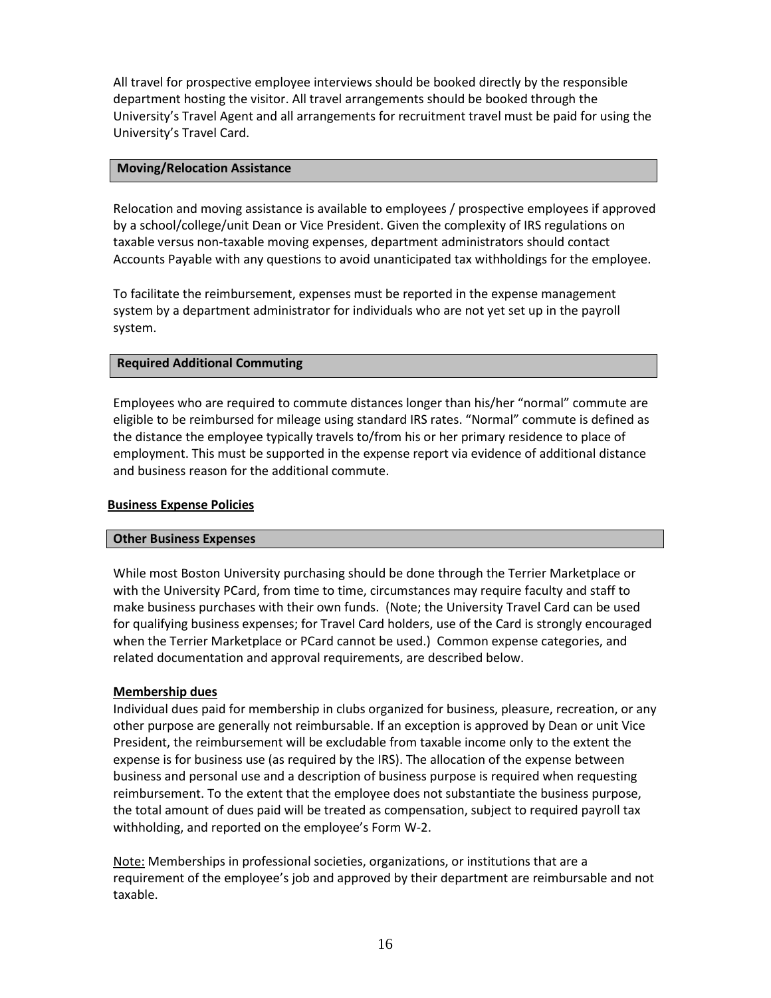All travel for prospective employee interviews should be booked directly by the responsible department hosting the visitor. All travel arrangements should be booked through the University's Travel Agent and all arrangements for recruitment travel must be paid for using the University's Travel Card.

#### **Moving/Relocation Assistance**

Relocation and moving assistance is available to employees / prospective employees if approved by a school/college/unit Dean or Vice President. Given the complexity of IRS regulations on taxable versus non-taxable moving expenses, department administrators should contact Accounts Payable with any questions to avoid unanticipated tax withholdings for the employee.

To facilitate the reimbursement, expenses must be reported in the expense management system by a department administrator for individuals who are not yet set up in the payroll system.

#### **Required Additional Commuting**

Employees who are required to commute distances longer than his/her "normal" commute are eligible to be reimbursed for mileage using standard IRS rates. "Normal" commute is defined as the distance the employee typically travels to/from his or her primary residence to place of employment. This must be supported in the expense report via evidence of additional distance and business reason for the additional commute.

#### **Business Expense Policies**

#### **Other Business Expenses**

While most Boston University purchasing should be done through the Terrier Marketplace or with the University PCard, from time to time, circumstances may require faculty and staff to make business purchases with their own funds. (Note; the University Travel Card can be used for qualifying business expenses; for Travel Card holders, use of the Card is strongly encouraged when the Terrier Marketplace or PCard cannot be used.) Common expense categories, and related documentation and approval requirements, are described below.

#### **Membership dues**

Individual dues paid for membership in clubs organized for business, pleasure, recreation, or any other purpose are generally not reimbursable. If an exception is approved by Dean or unit Vice President, the reimbursement will be excludable from taxable income only to the extent the expense is for business use (as required by the IRS). The allocation of the expense between business and personal use and a description of business purpose is required when requesting reimbursement. To the extent that the employee does not substantiate the business purpose, the total amount of dues paid will be treated as compensation, subject to required payroll tax withholding, and reported on the employee's Form W-2.

Note: Memberships in professional societies, organizations, or institutions that are a requirement of the employee's job and approved by their department are reimbursable and not taxable.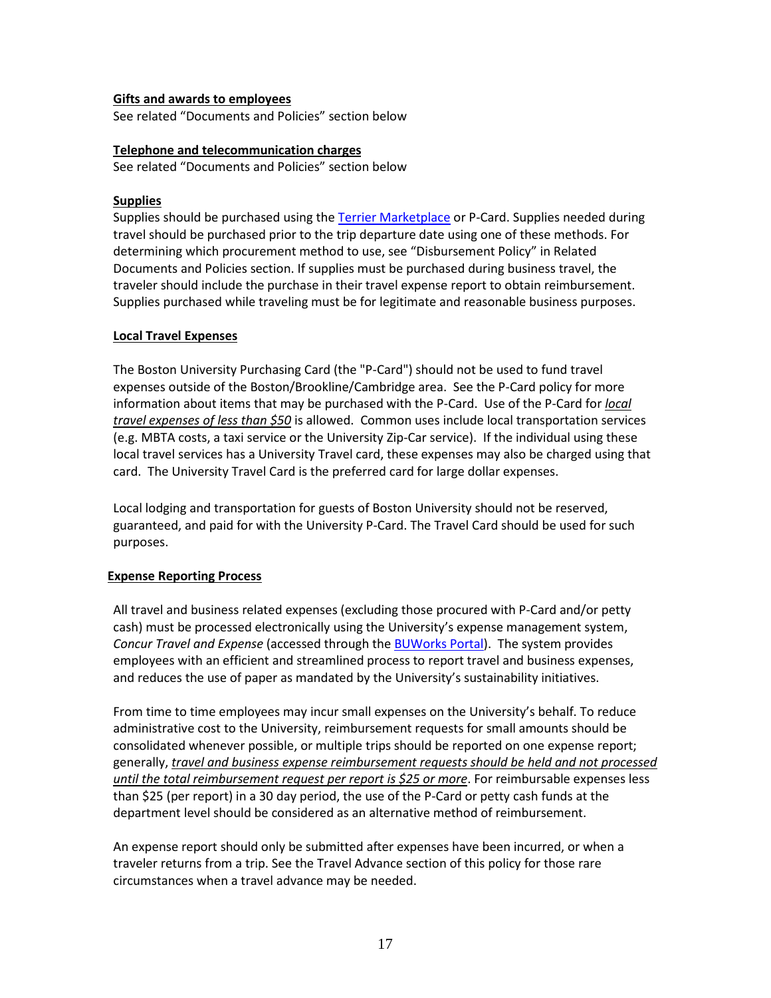#### **Gifts and awards to employees**

See related "Documents and Policies" section below

#### **Telephone and telecommunication charges**

See related "Documents and Policies" section below

#### **Supplies**

Supplies should be purchased using th[e Terrier Marketplace](http://www.bu.edu/sourcing/) or P-Card. Supplies needed during travel should be purchased prior to the trip departure date using one of these methods. For determining which procurement method to use, see "Disbursement Policy" in Related Documents and Policies section. If supplies must be purchased during business travel, the traveler should include the purchase in their travel expense report to obtain reimbursement. Supplies purchased while traveling must be for legitimate and reasonable business purposes.

#### **Local Travel Expenses**

The Boston University Purchasing Card (the "P-Card") should not be used to fund travel expenses outside of the Boston/Brookline/Cambridge area. See the P-Card policy for more information about items that may be purchased with the P-Card. Use of the P-Card for *local travel expenses of less than \$50* is allowed. Common uses include local transportation services (e.g. MBTA costs, a taxi service or the University Zip-Car service). If the individual using these local travel services has a University Travel card, these expenses may also be charged using that card. The University Travel Card is the preferred card for large dollar expenses.

Local lodging and transportation for guests of Boston University should not be reserved, guaranteed, and paid for with the University P-Card. The Travel Card should be used for such purposes.

#### **Expense Reporting Process**

All travel and business related expenses (excluding those procured with P-Card and/or petty cash) must be processed electronically using the University's expense management system, *Concur Travel and Expense* (accessed through the [BUWorks Portal\)](https://ppo.buw.bu.edu/). The system provides employees with an efficient and streamlined process to report travel and business expenses, and reduces the use of paper as mandated by the University's sustainability initiatives.

From time to time employees may incur small expenses on the University's behalf. To reduce administrative cost to the University, reimbursement requests for small amounts should be consolidated whenever possible, or multiple trips should be reported on one expense report; generally, *travel and business expense reimbursement requests should be held and not processed until the total reimbursement request per report is \$25 or more*. For reimbursable expenses less than \$25 (per report) in a 30 day period, the use of the P-Card or petty cash funds at the department level should be considered as an alternative method of reimbursement.

An expense report should only be submitted after expenses have been incurred, or when a traveler returns from a trip. See the Travel Advance section of this policy for those rare circumstances when a travel advance may be needed.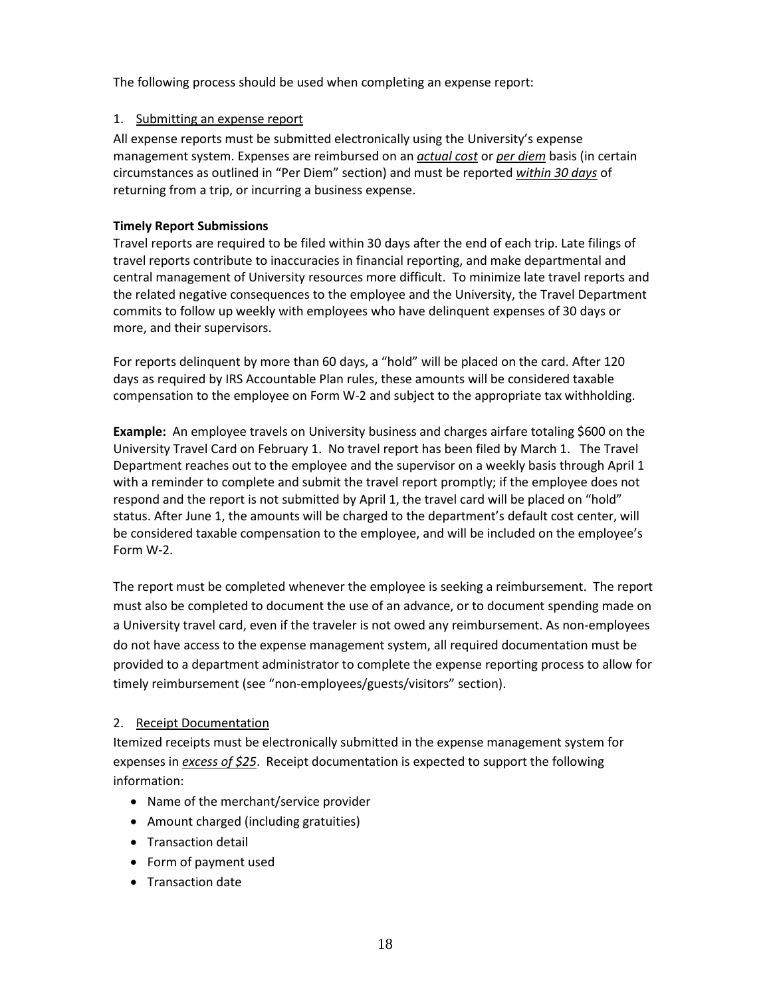The following process should be used when completing an expense report:

#### 1. Submitting an expense report

All expense reports must be submitted electronically using the University's expense management system. Expenses are reimbursed on an *actual cost* or *per diem* basis (in certain circumstances as outlined in "Per Diem" section) and must be reported *within 30 days* of returning from a trip, or incurring a business expense.

#### **Timely Report Submissions**

Travel reports are required to be filed within 30 days after the end of each trip. Late filings of travel reports contribute to inaccuracies in financial reporting, and make departmental and central management of University resources more difficult. To minimize late travel reports and the related negative consequences to the employee and the University, the Travel Department commits to follow up weekly with employees who have delinquent expenses of 30 days or more, and their supervisors.

For reports delinquent by more than 60 days, a "hold" will be placed on the card. After 120 days as required by IRS Accountable Plan rules, these amounts will be considered taxable compensation to the employee on Form W-2 and subject to the appropriate tax withholding.

**Example:** An employee travels on University business and charges airfare totaling \$600 on the University Travel Card on February 1. No travel report has been filed by March 1. The Travel Department reaches out to the employee and the supervisor on a weekly basis through April 1 with a reminder to complete and submit the travel report promptly; if the employee does not respond and the report is not submitted by April 1, the travel card will be placed on "hold" status. After June 1, the amounts will be charged to the department's default cost center, will be considered taxable compensation to the employee, and will be included on the employee's Form W-2.

The report must be completed whenever the employee is seeking a reimbursement. The report must also be completed to document the use of an advance, or to document spending made on a University travel card, even if the traveler is not owed any reimbursement. As non-employees do not have access to the expense management system, all required documentation must be provided to a department administrator to complete the expense reporting process to allow for timely reimbursement (see "non-employees/guests/visitors" section).

#### 2. Receipt Documentation

Itemized receipts must be electronically submitted in the expense management system for expenses in *excess of \$25*. Receipt documentation is expected to support the following information:

- Name of the merchant/service provider
- Amount charged (including gratuities)
- Transaction detail
- Form of payment used
- Transaction date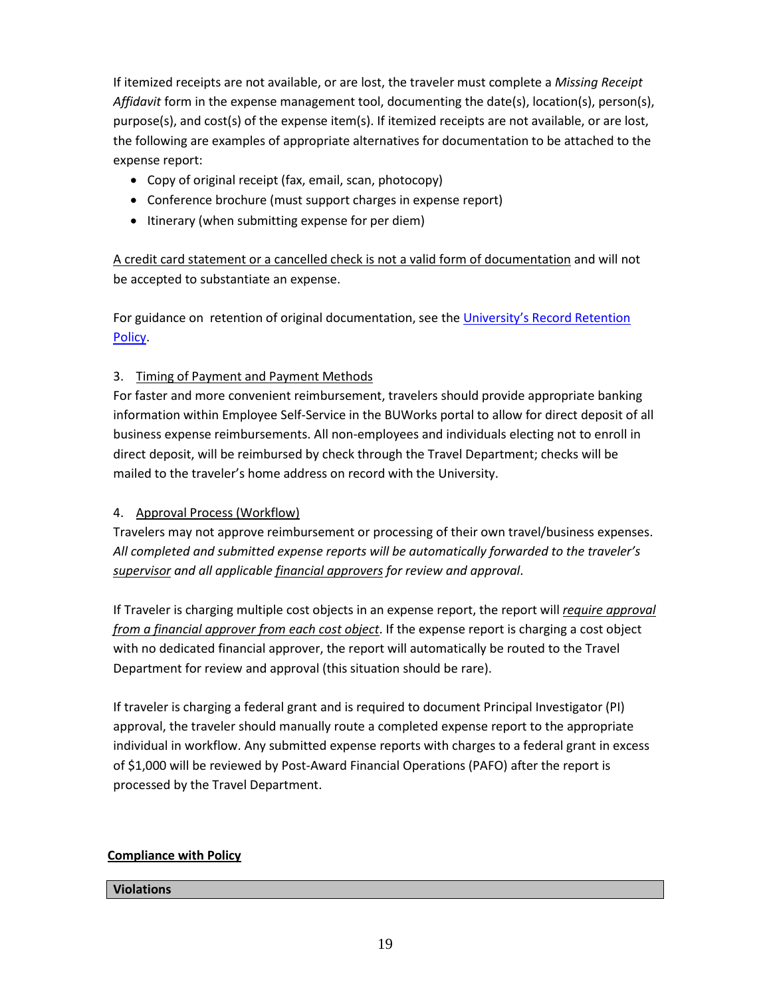If itemized receipts are not available, or are lost, the traveler must complete a *Missing Receipt Affidavit* form in the expense management tool, documenting the date(s), location(s), person(s), purpose(s), and cost(s) of the expense item(s). If itemized receipts are not available, or are lost, the following are examples of appropriate alternatives for documentation to be attached to the expense report:

- Copy of original receipt (fax, email, scan, photocopy)
- Conference brochure (must support charges in expense report)
- Itinerary (when submitting expense for per diem)

A credit card statement or a cancelled check is not a valid form of documentation and will not be accepted to substantiate an expense.

For guidance on retention of original documentation, see the University's Record Retention [Policy.](http://www.bu.edu/tech/files/2013/05/Record_Retention_Policy_1-27-10.pdf)

## 3. Timing of Payment and Payment Methods

For faster and more convenient reimbursement, travelers should provide appropriate banking information within Employee Self-Service in the BUWorks portal to allow for direct deposit of all business expense reimbursements. All non-employees and individuals electing not to enroll in direct deposit, will be reimbursed by check through the Travel Department; checks will be mailed to the traveler's home address on record with the University.

## 4. Approval Process (Workflow)

Travelers may not approve reimbursement or processing of their own travel/business expenses. *All completed and submitted expense reports will be automatically forwarded to the traveler's supervisor and all applicable financial approvers for review and approval*.

If Traveler is charging multiple cost objects in an expense report, the report will *require approval from a financial approver from each cost object*. If the expense report is charging a cost object with no dedicated financial approver, the report will automatically be routed to the Travel Department for review and approval (this situation should be rare).

If traveler is charging a federal grant and is required to document Principal Investigator (PI) approval, the traveler should manually route a completed expense report to the appropriate individual in workflow. Any submitted expense reports with charges to a federal grant in excess of \$1,000 will be reviewed by Post-Award Financial Operations (PAFO) after the report is processed by the Travel Department.

## **Compliance with Policy**

#### **Violations**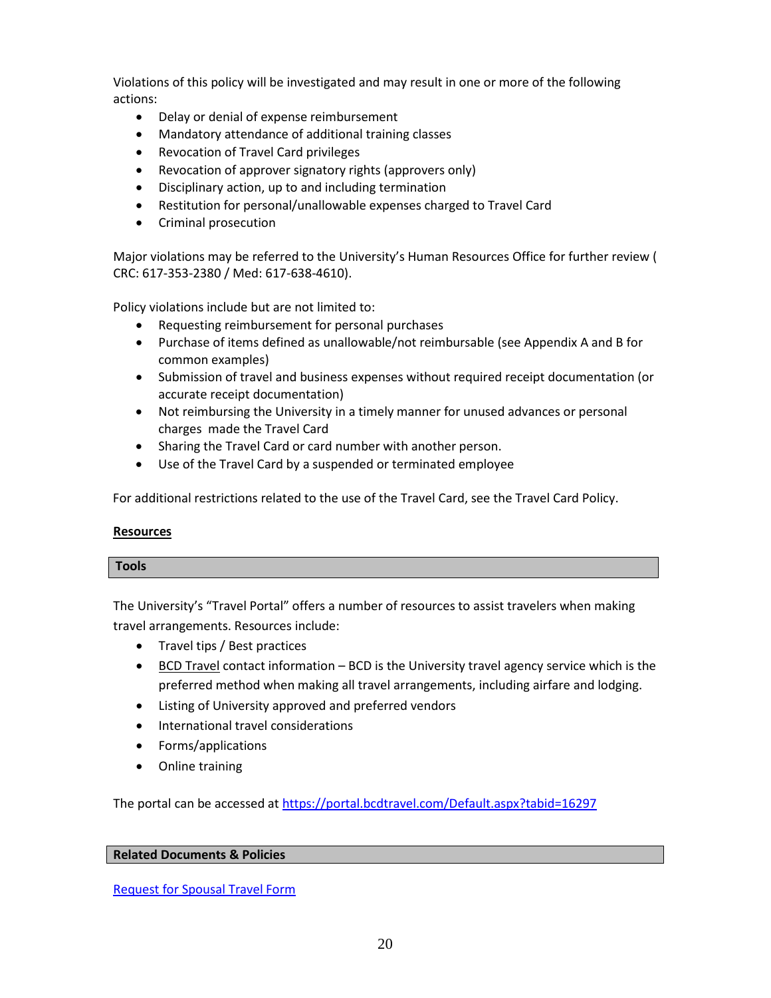Violations of this policy will be investigated and may result in one or more of the following actions:

- Delay or denial of expense reimbursement
- Mandatory attendance of additional training classes
- Revocation of Travel Card privileges
- Revocation of approver signatory rights (approvers only)
- Disciplinary action, up to and including termination
- Restitution for personal/unallowable expenses charged to Travel Card
- Criminal prosecution

Major violations may be referred to the University's Human Resources Office for further review ( CRC: 617-353-2380 / Med: 617-638-4610).

Policy violations include but are not limited to:

- Requesting reimbursement for personal purchases
- Purchase of items defined as unallowable/not reimbursable (see Appendix A and B for common examples)
- Submission of travel and business expenses without required receipt documentation (or accurate receipt documentation)
- Not reimbursing the University in a timely manner for unused advances or personal charges made the Travel Card
- Sharing the Travel Card or card number with another person.
- Use of the Travel Card by a suspended or terminated employee

For additional restrictions related to the use of the Travel Card, see the Travel Card Policy.

#### **Resources**

#### **Tools**

The University's "Travel Portal" offers a number of resources to assist travelers when making travel arrangements. Resources include:

- Travel tips / Best practices
- BCD Travel contact information BCD is the University travel agency service which is the preferred method when making all travel arrangements, including airfare and lodging.
- Listing of University approved and preferred vendors
- International travel considerations
- Forms/applications
- Online training

The portal can be accessed at<https://portal.bcdtravel.com/Default.aspx?tabid=16297>

#### **Related Documents & Policies**

[Request for Spousal Travel Form](https://portal.bcdtravel.com/portals/85/uploads/Spousal_Travel_Authorization_Form.pdf)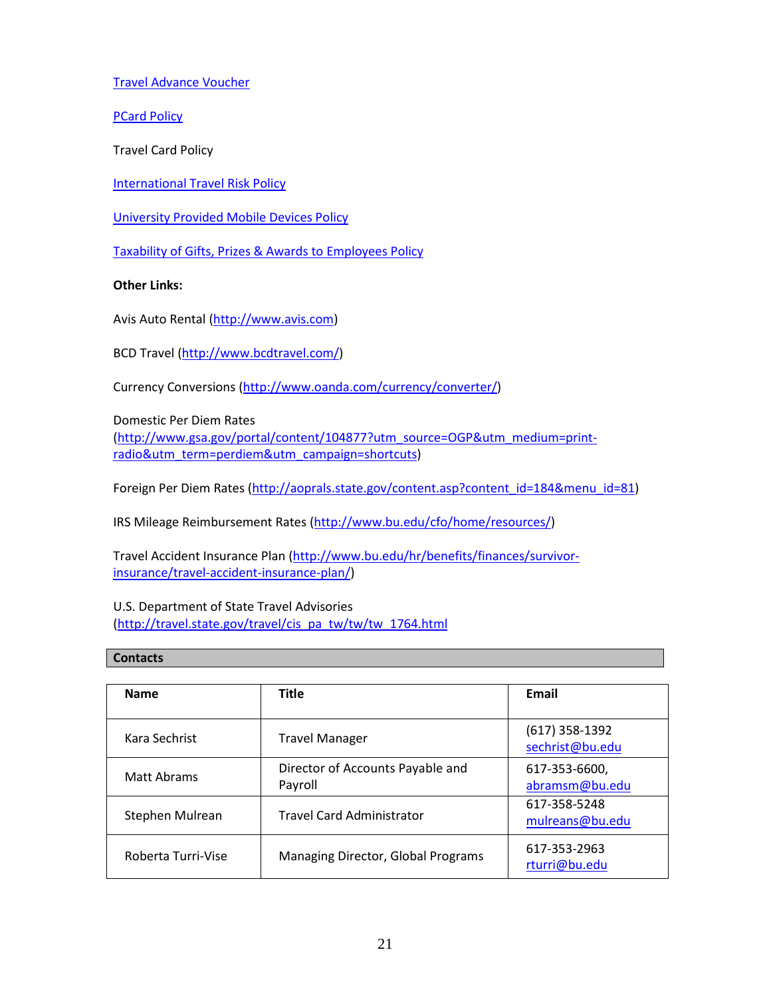[Travel Advance Voucher](http://vpfa-forms.bu.edu/ct/Default.aspx)

**[PCard Policy](http://www.bu.edu/cfo/files/2013/07/PCard-Policies-Procedures.pdf)** 

Travel Card Policy

[International Travel Risk Policy](http://www.bu.edu/globalprograms/manage/international-travel/)

[University Provided Mobile Devices Policy](http://www.bu.edu/cfo/files/2014/02/Cell-Phone-Policy.pdf)

[Taxability of Gifts, Prizes & Awards to Employees Policy](http://www.bu.edu/cfo/files/2014/05/Taxation-Employee-Gifts.pdf)

**Other Links:**

Avis Auto Rental [\(http://www.avis.com\)](http://www.avis.com/)

BCD Travel [\(http://www.bcdtravel.com/\)](http://www.bcdtravel.com/)

Currency Conversions [\(http://www.oanda.com/currency/converter/\)](http://www.oanda.com/currency/converter/)

Domestic Per Diem Rates [\(http://www.gsa.gov/portal/content/104877?utm\\_source=OGP&utm\\_medium=print](http://www.gsa.gov/portal/content/104877?utm_source=OGP&utm_medium=print-radio&utm_term=perdiem&utm_campaign=shortcuts)[radio&utm\\_term=perdiem&utm\\_campaign=shortcuts\)](http://www.gsa.gov/portal/content/104877?utm_source=OGP&utm_medium=print-radio&utm_term=perdiem&utm_campaign=shortcuts)

Foreign Per Diem Rates [\(http://aoprals.state.gov/content.asp?content\\_id=184&menu\\_id=81\)](http://aoprals.state.gov/content.asp?content_id=184&menu_id=81)

IRS Mileage Reimbursement Rates [\(http://www.bu.edu/cfo/home/resources/\)](http://www.bu.edu/cfo/home/resources/)

Travel Accident Insurance Plan [\(http://www.bu.edu/hr/benefits/finances/survivor](http://www.bu.edu/hr/benefits/finances/survivor-insurance/travel-accident-insurance-plan/)[insurance/travel-accident-insurance-plan/\)](http://www.bu.edu/hr/benefits/finances/survivor-insurance/travel-accident-insurance-plan/)

U.S. Department of State Travel Advisories [\(http://travel.state.gov/travel/cis\\_pa\\_tw/tw/tw\\_1764.html](http://travel.state.gov/travel/cis_pa_tw/tw/tw_1764.html)

#### **Contacts**

| <b>Name</b>        | <b>Title</b>                                | Email                               |
|--------------------|---------------------------------------------|-------------------------------------|
| Kara Sechrist      | <b>Travel Manager</b>                       | $(617)$ 358-1392<br>sechrist@bu.edu |
| Matt Abrams        | Director of Accounts Payable and<br>Payroll | 617-353-6600,<br>abramsm@bu.edu     |
| Stephen Mulrean    | <b>Travel Card Administrator</b>            | 617-358-5248<br>mulreans@bu.edu     |
| Roberta Turri-Vise | Managing Director, Global Programs          | 617-353-2963<br>rturri@bu.edu       |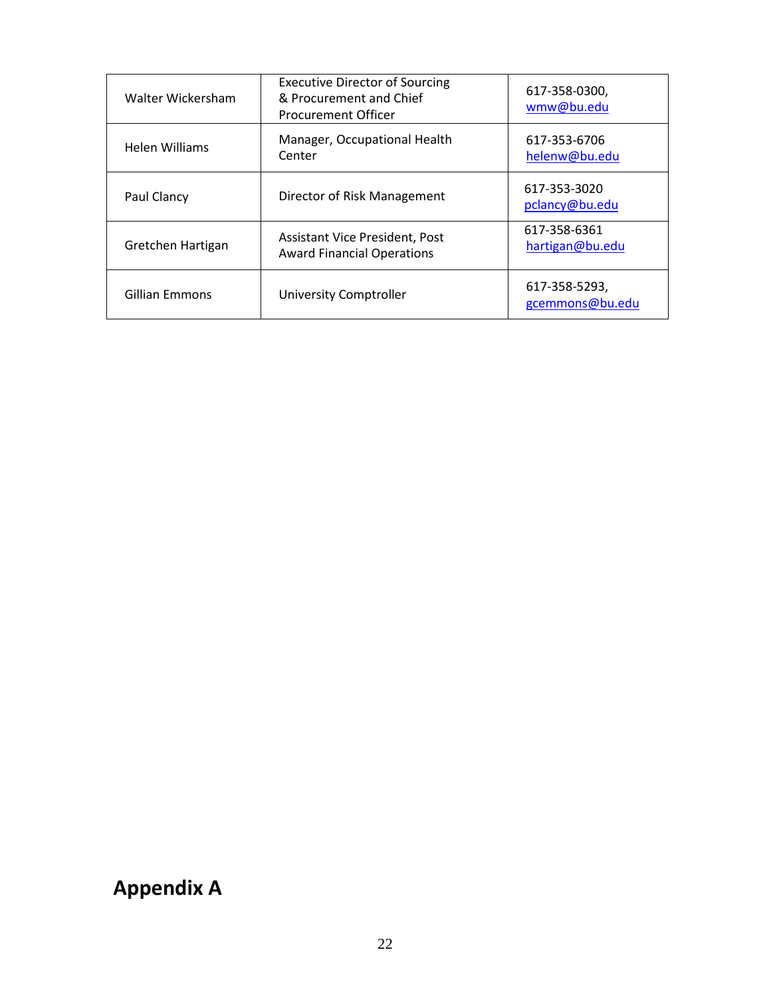| Walter Wickersham     | <b>Executive Director of Sourcing</b><br>& Procurement and Chief<br><b>Procurement Officer</b> | 617-358-0300,<br>wmw@bu.edu      |
|-----------------------|------------------------------------------------------------------------------------------------|----------------------------------|
| <b>Helen Williams</b> | Manager, Occupational Health<br>Center                                                         | 617-353-6706<br>helenw@bu.edu    |
| Paul Clancy           | Director of Risk Management                                                                    | 617-353-3020<br>pclancy@bu.edu   |
| Gretchen Hartigan     | Assistant Vice President, Post<br><b>Award Financial Operations</b>                            | 617-358-6361<br>hartigan@bu.edu  |
| <b>Gillian Emmons</b> | <b>University Comptroller</b>                                                                  | 617-358-5293,<br>gcemmons@bu.edu |

# **Appendix A**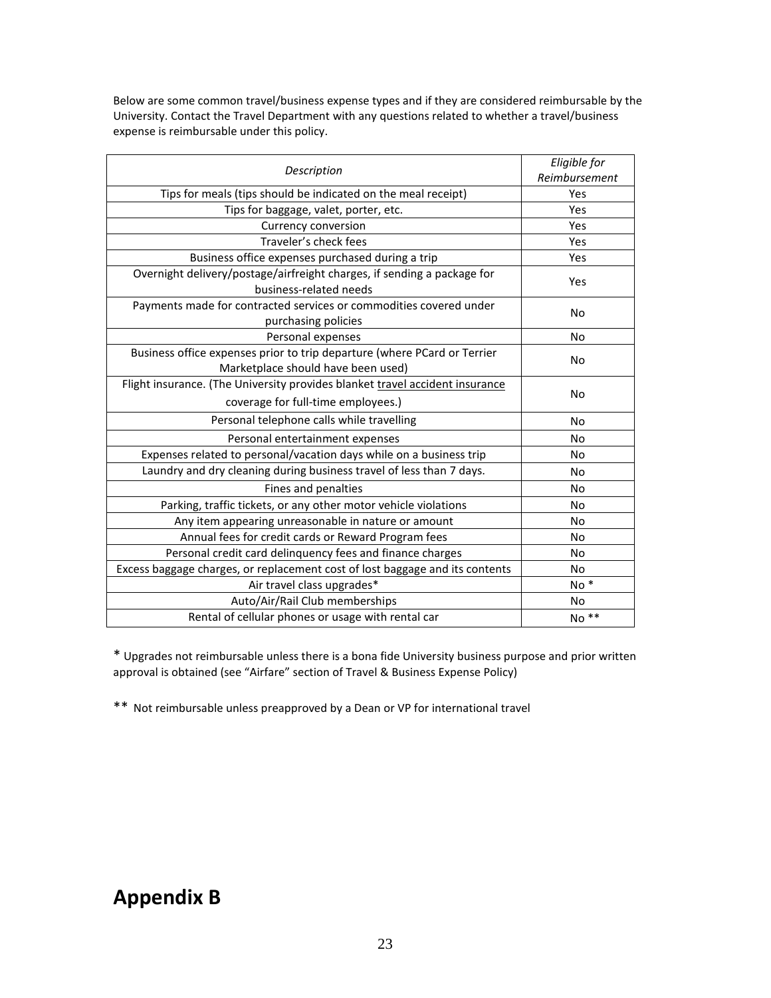Below are some common travel/business expense types and if they are considered reimbursable by the University. Contact the Travel Department with any questions related to whether a travel/business expense is reimbursable under this policy.

| Description                                                                                                        | Eligible for<br>Reimbursement |
|--------------------------------------------------------------------------------------------------------------------|-------------------------------|
| Tips for meals (tips should be indicated on the meal receipt)                                                      | Yes                           |
|                                                                                                                    | Yes                           |
| Tips for baggage, valet, porter, etc.<br><b>Currency conversion</b>                                                | Yes                           |
| Traveler's check fees                                                                                              | Yes                           |
|                                                                                                                    |                               |
| Business office expenses purchased during a trip                                                                   | Yes                           |
| Overnight delivery/postage/airfreight charges, if sending a package for<br>business-related needs                  | Yes                           |
| Payments made for contracted services or commodities covered under<br>purchasing policies                          | No                            |
| Personal expenses                                                                                                  | No                            |
| Business office expenses prior to trip departure (where PCard or Terrier<br>Marketplace should have been used)     | No                            |
| Flight insurance. (The University provides blanket travel accident insurance<br>coverage for full-time employees.) | No                            |
| Personal telephone calls while travelling                                                                          | No                            |
| Personal entertainment expenses                                                                                    | No                            |
| Expenses related to personal/vacation days while on a business trip                                                | No                            |
| Laundry and dry cleaning during business travel of less than 7 days.                                               | No                            |
| Fines and penalties                                                                                                | No                            |
| Parking, traffic tickets, or any other motor vehicle violations                                                    | No                            |
| Any item appearing unreasonable in nature or amount                                                                | No                            |
| Annual fees for credit cards or Reward Program fees                                                                | No                            |
| Personal credit card delinquency fees and finance charges                                                          | <b>No</b>                     |
| Excess baggage charges, or replacement cost of lost baggage and its contents                                       | No                            |
| Air travel class upgrades*                                                                                         | No <sup>*</sup>               |
| Auto/Air/Rail Club memberships                                                                                     | No                            |
| Rental of cellular phones or usage with rental car                                                                 | No <sup>**</sup>              |

\* Upgrades not reimbursable unless there is a bona fide University business purpose and prior written approval is obtained (see "Airfare" section of Travel & Business Expense Policy)

\*\* Not reimbursable unless preapproved by a Dean or VP for international travel

## **Appendix B**